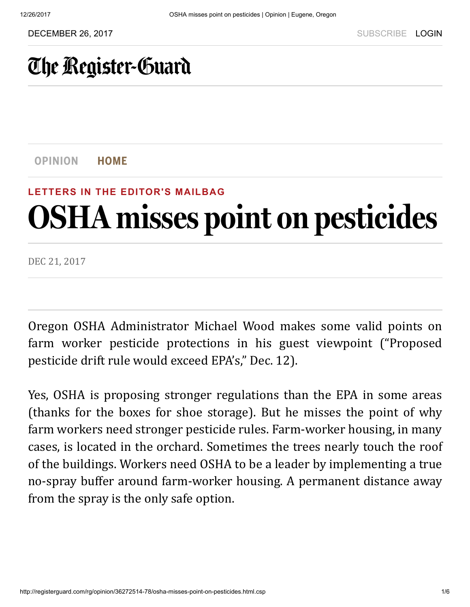## [The Register-Guard](http://registerguard.com/)

[OPINION](http://registerguard.com/csp/cms/sites/rg/opinion/index.csp) HOME

#### LETTERS IN THE [EDITOR'S](http://registerguard.com/rg/news/categories/?subcats=32276281) MAILBAG

# OSHA misses point on pesticides

DEC 21, 2017

Oregon OSHA Administrator Michael Wood makes some valid points on farm worker pesticide protections in his guest viewpoint ("Proposed pesticide drift rule would exceed EPA's," Dec. 12).

Yes, OSHA is proposing stronger regulations than the EPA in some areas (thanks for the boxes for shoe storage). But he misses the point of why farm workers need stronger pesticide rules. Farm-worker housing, in many cases, is located in the orchard. Sometimes the trees nearly touch the roof of the buildings. Workers need OSHA to be a leader by implementing a true no-spray buffer around farm-worker housing. A permanent distance away from the spray is the only safe option.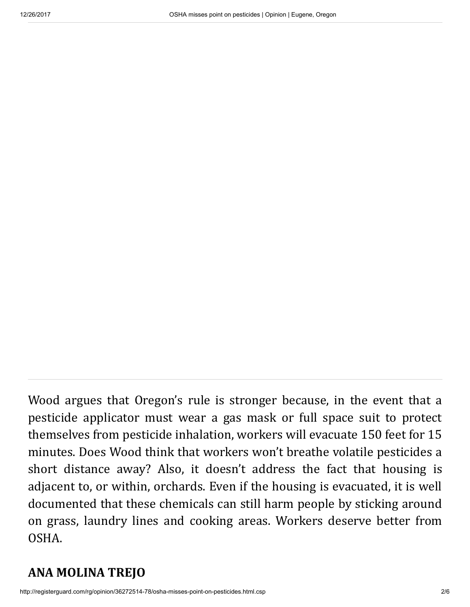Wood argues that Oregon's rule is stronger because, in the event that a pesticide applicator must wear a gas mask or full space suit to protect themselves from pesticide inhalation, workers will evacuate 150 feet for 15 minutes. Does Wood think that workers won't breathe volatile pesticides a short distance away? Also, it doesn't address the fact that housing is adjacent to, or within, orchards. Even if the housing is evacuated, it is well documented that these chemicals can still harm people by sticking around on grass, laundry lines and cooking areas. Workers deserve better from OSHA.

#### ANA MOLINA TREJO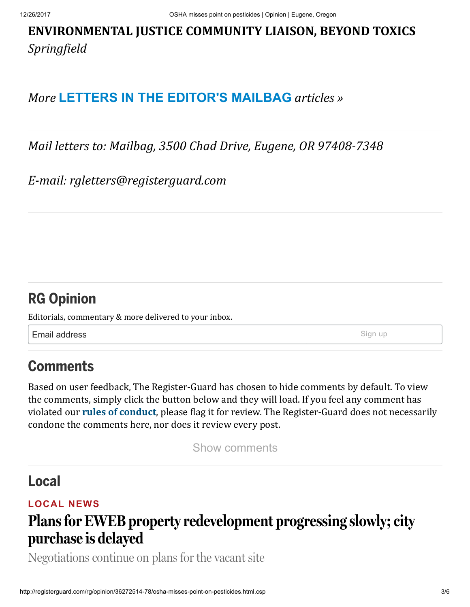#### ENVIRONMENTAL JUSTICE COMMUNITY LIAISON, BEYOND TOXICS *Springield*

#### *More* [LETTERS IN THE EDITOR'S MAILBAG](http://registerguard.com/rg/news/categories/?subcats=32276281) articles »

*Mail letters to: Mailbag, 3500 Chad Drive, Eugene, OR 97408-7348* 

*E-mail: rgletters@registerguard.com*

#### [RG Opinion](http://registerguard.com/newsletters)

Editorials, commentary & more delivered to your inbox.

**Email address** Sign up

## **Comments**

Based on user feedback, The Register-Guard has chosen to hide comments by default. To view the comments, simply click the button below and they will load. If you feel any comment has violated our **rules of conduct**, please flag it for review. The Register-Guard does not necessarily condone the comments here, nor does it review every post.

Show comments

#### [Local](http://registerguard.com/csp/cms/sites/rg/news/local/index.csp)

#### [LOCAL](http://registerguard.com/rg/news/categories/?subcats=6) NEWS

## [Plans for EWEB property redevelopment progressing slowly; city](http://registerguard.com/rg/news/local/36276121-75/plans-for-eweb-property-redevelopment-progressing-slowly-city-purchase-is-delayed.html.csp) purchase is delayed

Negotiations continue on plans for the vacant site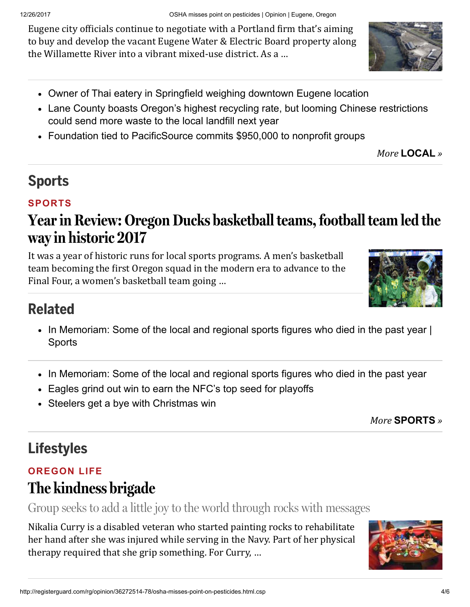Eugene city officials continue to negotiate with a Portland firm that's aiming to buy and develop the vacant Eugene Water & Electric Board property along the Willamette River into a vibrant mixed-use district. As a ...

- [Owner of Thai eatery in Springfield weighing downtown Eugene location](http://registerguard.com/rg/news/local/36276377-78/owner-of-thai-eatery-in-springfield-weighing-downtown-eugene-location.html.csp)
- [Lane County boasts Oregon's highest recycling rate, but looming Chinese restrictions](http://registerguard.com/rg/news/local/36269430-78/story.csp) could send more waste to the local landfill next year
- [Foundation tied to PacificSource commits \\$950,000 to nonprofit groups](http://registerguard.com/rg/news/local/36273747-78/foundation-tied-to-pacificsource-commits-950000-to-nonprofit-groups.html.csp)

*More* [LOCAL](http://registerguard.com/csp/cms/sites/rg/news/local/index.csp) *»*

## [Sports](http://registerguard.com/csp/cms/sites/rg/sports/index.csp)

#### [SPORTS](http://registerguard.com/rg/news/categories/?subcats=191234)

## [Year in Review: Oregon Ducks basketball teams, football team led the](http://registerguard.com/rg/sports/36282381-81/year-in-review-oregon-ducks-basketball-teams-football-team-led-the-way-in-historic-2017.html.csp) way in historic 2017

It was a year of historic runs for local sports programs. A men's basketball team becoming the first Oregon squad in the modern era to advance to the Final Four, a women's basketball team going ...



## Related

- In Memoriam: Some of the local and regional sports figures who died in the past year  $|$ Sports
- [In Memoriam: Some of the local and regional sports figures who died in the past year](http://registerguard.com/rg/sports/36282464-78/in-memoriam-some-of-the-local-and-regional-sports-figures-who-died-in-the-past-year.html.csp)
- [Eagles grind out win to earn the NFC's top seed for playoffs](http://registerguard.com/rg/sports/36282472-78/eagles-grind-out-win-to-earn-the-nfcs-top-seed-for-playoffs.html.csp)
- [Steelers get a bye with Christmas win](http://registerguard.com/rg/sports/36282553-78/steelers-get-a-bye-with-christmas-win.html.csp)

*More* [SPORTS](http://registerguard.com/csp/cms/sites/rg/sports/index.csp) *»*

## [Lifestyles](http://registerguard.com/csp/cms/sites/rg/life/lifestyles/index.csp)

#### [OREGON](http://registerguard.com/rg/news/categories/?subcats=16) LIFE

## [The kindness brigade](http://registerguard.com/rg/life/lifestyles/36197623-74/the-kindness-brigade.html.csp)

Group seeks to add a little joy to the world through rocks with messages

Nikalia Curry is a disabled veteran who started painting rocks to rehabilitate her hand after she was injured while serving in the Navy. Part of her physical therapy required that she grip something. For Curry, ...



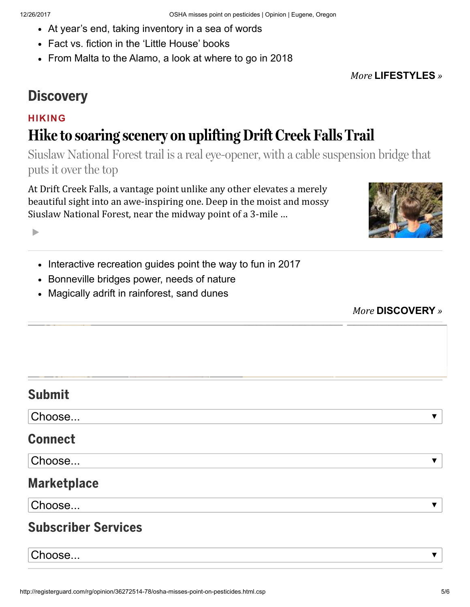- [At year's end, taking inventory in a sea of words](http://registerguard.com/rg/life/lifestyles/36244904-78/at-years-end-taking-inventory-in-a-sea-of-words.html.csp)
- [Fact vs. fiction in the 'Little House' books](http://registerguard.com/rg/life/lifestyles/36269152-78/fact-vs.-fiction-in-the-little-house-books.csp)
- [From Malta to the Alamo, a look at where to go in 2018](http://registerguard.com/rg/life/lifestyles/36266045-78/from-malta-to-the-alamo-a-look-at-where-to-go-in-2018.html.csp)

*More* [LIFESTYLES](http://registerguard.com/csp/cms/sites/rg/life/lifestyles/index.csp) *»*

#### **[Discovery](http://registerguard.com/csp/cms/sites/rg/life/discovery/index.csp)**

#### [HIKING](http://registerguard.com/rg/news/categories/?subcats=19525255)

## [Hike to soaring scenery on uplifting Drift Creek Falls Trail](http://registerguard.com/rg/life/discovery/35582541-65/bridge-to-soaring-scenery-on-uplifting-drift-creek-falls-trail.html.csp)

Siuslaw National Forest trail is a real eye-opener, with a cable suspension bridge that puts it over the top

At Drift Creek Falls, a vantage point unlike any other elevates a merely beautiful sight into an awe-inspiring one. Deep in the moist and mossy Siuslaw National Forest, near the midway point of a 3-mile ...



- [Interactive recreation guides point the way to fun in 2017](http://registerguard.com/rg/life/discovery/35584897-78/interactive-recreation-guides-point-the-way-to-fun-in-2017.html.csp)
- [Bonneville bridges power, needs of nature](http://registerguard.com/rg/life/discovery/35582796-78/bonneville-bridges-power-needs-of-nature.html.csp)
- [Magically adrift in rainforest, sand dunes](http://registerguard.com/rg/life/discovery/35582783-78/magically-adrift-in-rainforest-sand-dunes.html.csp)



#### Submit

Choose...

#### Connect

Choose...

#### **Marketplace**

Choose...

#### Subscriber Services

Choose...

 $\blacktriangledown$ 

 $\overline{\mathbf{v}}$ 

 $\overline{\mathbf{v}}$ 

 $\overline{\mathbf{v}}$